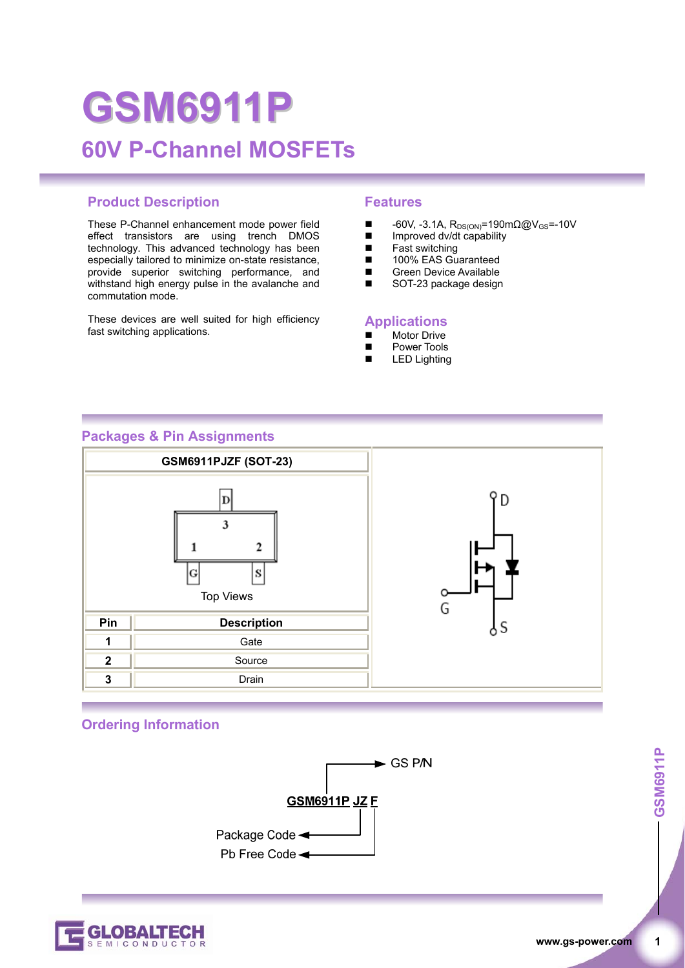# **GSM6911P 60V P-Channel MOSFETs**

## **Product Description Features**

These P-Channel enhancement mode power field effect transistors are using trench DMOS technology. This advanced technology has been especially tailored to minimize on-state resistance, provide superior switching performance, and withstand high energy pulse in the avalanche and commutation mode.

These devices are well suited for high efficiency fast switching applications.

- $\blacksquare$  -60V, -3.1A, R<sub>DS(ON)</sub>=190mΩ@V<sub>GS</sub>=-10V<br>
Improved dv/dt capability
- Improved dv/dt capability
- $\blacksquare$  Fast switching
- 100% EAS Guaranteed<br>■ Green Device Available
- Green Device Available<br>SOT-23 package design
- SOT-23 package design

#### **Applications**

- Motor Drive
- **Power Tools**
- LED Lighting

#### **Packages & Pin Assignments**



#### **Ordering Information**



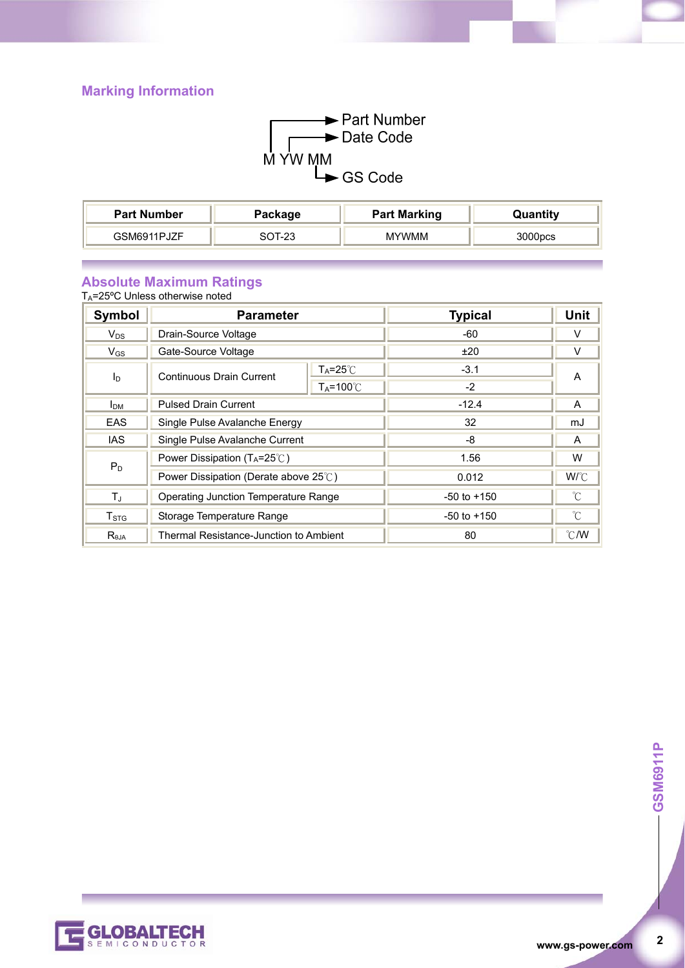# **Marking Information**



| <b>Part Number</b> | Package | <b>Part Marking</b> | Quantity |
|--------------------|---------|---------------------|----------|
| GSM6911PJZF        | מרי ד   | <b>MYWMM</b>        | 3000pcs  |

#### **Absolute Maximum Ratings**

TA=25ºC Unless otherwise noted

| Symbol                | <b>Parameter</b>                               |                    | <b>Typical</b>  | Unit          |
|-----------------------|------------------------------------------------|--------------------|-----------------|---------------|
| $V_{DS}$              | Drain-Source Voltage                           |                    | -60             | V             |
| $V_{GS}$              | Gate-Source Voltage                            |                    | ±20             | V             |
| <b>l</b> <sub>D</sub> | Continuous Drain Current                       | $T_A = 25^\circ C$ | $-3.1$          | A             |
|                       |                                                | $Ta=100^{\circ}$   | -2              |               |
| I <sub>DM</sub>       | <b>Pulsed Drain Current</b>                    |                    | $-12.4$         | A             |
| <b>EAS</b>            | Single Pulse Avalanche Energy                  |                    | 32              | mJ            |
| <b>IAS</b>            | Single Pulse Avalanche Current                 |                    | -8              | A             |
| $P_D$                 | Power Dissipation ( $T_A = 25^\circ\text{C}$ ) |                    | 1.56            | W             |
|                       | Power Dissipation (Derate above 25°C)          |                    | 0.012           | $W^{\circ}C$  |
| T,                    | Operating Junction Temperature Range           |                    | $-50$ to $+150$ | °C            |
| $T_{\mathtt{STG}}$    | Storage Temperature Range                      |                    | $-50$ to $+150$ | °C            |
| R <sub>0.1A</sub>     | Thermal Resistance-Junction to Ambient         |                    | 80              | $\degree$ C/W |



 $\overline{2}$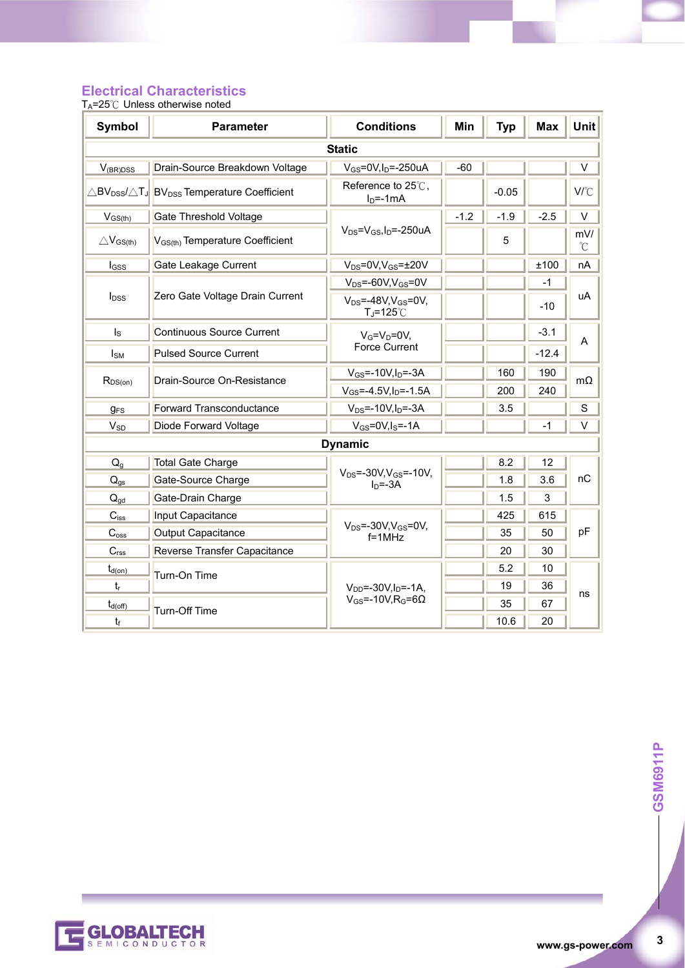# **Electrical Characteristics**

T<sub>A</sub>=25℃ Unless otherwise noted

| <b>Symbol</b>           | <b>Parameter</b>                                                                         | <b>Conditions</b>                               | Min    | <b>Typ</b> | <b>Max</b> | <b>Unit</b> |
|-------------------------|------------------------------------------------------------------------------------------|-------------------------------------------------|--------|------------|------------|-------------|
| <b>Static</b>           |                                                                                          |                                                 |        |            |            |             |
| $V_{(BR)DSS}$           | Drain-Source Breakdown Voltage                                                           | $V_{GS}$ =0V,I <sub>D</sub> =-250uA             | -60    |            |            | $\vee$      |
|                         | $\triangle$ BV <sub>DSS</sub> / $\triangle$ TJ BV <sub>DSS</sub> Temperature Coefficient | Reference to 25°C,<br>$ID=-1mA$                 |        | $-0.05$    |            | V/°C        |
| $V_{GS(th)}$            | <b>Gate Threshold Voltage</b>                                                            |                                                 | $-1.2$ | $-1.9$     | $-2.5$     | $\vee$      |
| $\triangle V_{GS(th)}$  | V <sub>GS(th)</sub> Temperature Coefficient                                              | $V_{DS} = V_{GS}I_D = -250uA$                   |        | 5          |            | mV/<br>°C   |
| $I_{GSS}$               | Gate Leakage Current                                                                     | $V_{DS} = 0V, V_{GS} = \pm 20V$                 |        |            | ±100       | nA          |
|                         |                                                                                          | $V_{DS} = -60V$ , $V_{GS} = 0V$                 |        |            | $-1$       |             |
| I <sub>DSS</sub>        | Zero Gate Voltage Drain Current<br>$T_J = 125^\circ \text{C}$                            | $V_{DS} = -48V$ , $V_{GS} = 0V$ ,               |        |            | $-10$      | uA          |
| $\mathsf{I}_\mathsf{S}$ | Continuous Source Current                                                                | $V_G=V_D=0V$                                    |        |            | $-3.1$     | A           |
| $I_{SM}$                | <b>Pulsed Source Current</b>                                                             | <b>Force Current</b>                            |        |            | $-12.4$    |             |
|                         | Drain-Source On-Resistance                                                               | $V_{GS} = -10V, I_D = -3A$                      |        | 160        | 190        | $m\Omega$   |
| $R_{DS(on)}$            |                                                                                          | $V_{GS} = -4.5V, I_D = -1.5A$                   |        | 200        | 240        |             |
| <b>gFS</b>              | <b>Forward Transconductance</b>                                                          | $V_{DS} = -10V, I_D = -3A$                      |        | 3.5        |            | S           |
| <b>V<sub>SD</sub></b>   | Diode Forward Voltage                                                                    | $V_{GS} = 0V$ , $I_S = -1A$                     |        |            | $-1$       | V           |
|                         | <b>Dynamic</b>                                                                           |                                                 |        |            |            |             |
| $Q_q$                   | <b>Total Gate Charge</b>                                                                 |                                                 |        | 8.2        | 12         |             |
| $Q_{gs}$                | Gate-Source Charge                                                                       | $V_{DS} = -30V$ , $V_{GS} = -10V$ ,<br>$In=-3A$ |        | 1.8        | 3.6        | nC          |
| $Q_{qd}$                | Gate-Drain Charge                                                                        |                                                 |        | 1.5        | 3          |             |
| $C_{iss}$               | Input Capacitance                                                                        |                                                 |        | 425        | 615        |             |
| $C_{\rm oss}$           | Output Capacitance                                                                       | $V_{DS}$ =-30V, $V_{GS}$ =0V,<br>$f = 1MHz$     |        | 35         | 50         | рF          |
| C <sub>rss</sub>        | Reverse Transfer Capacitance                                                             |                                                 |        | 20         | 30         |             |
| $t_{d(on)}$             | Turn-On Time                                                                             |                                                 |        | 5.2        | 10         |             |
| $t_{r}$                 |                                                                                          | $V_{DD} = -30V I_D = -1A$                       |        | 19         | 36         | ns          |
| $t_{d(off)}$            | Turn-Off Time                                                                            | $V_{GS}$ =-10V, R <sub>G</sub> =6 $\Omega$      |        | 35         | 67         |             |
| $t_{\rm f}$             |                                                                                          |                                                 |        | 10.6       | 20         |             |



 $\mathbf{3}$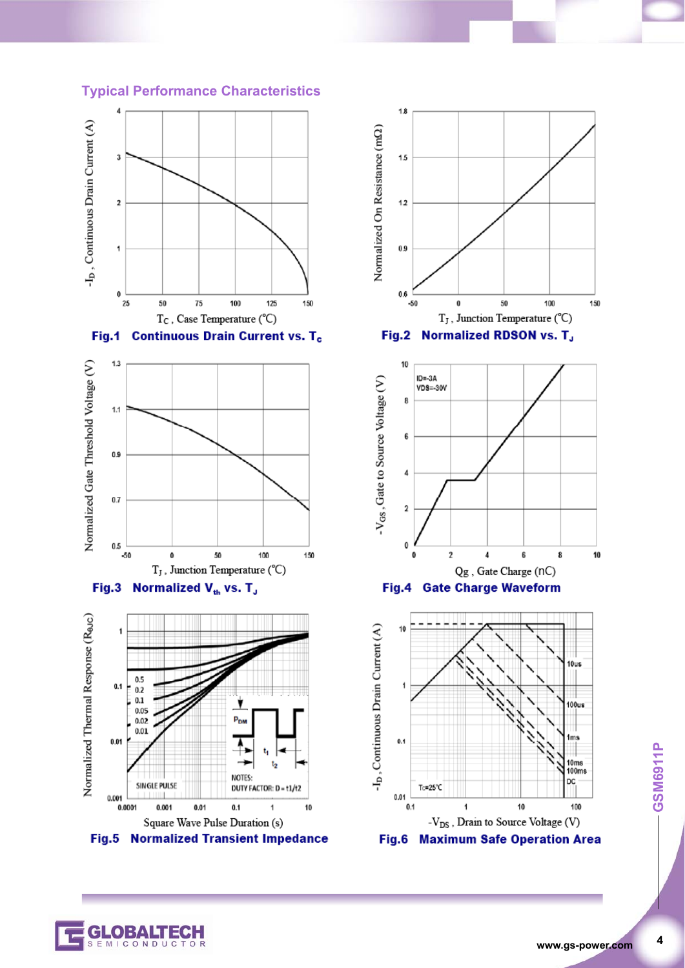#### **Typical Performance Characteristics**













CONDUC

 $\overline{\mathbf{4}}$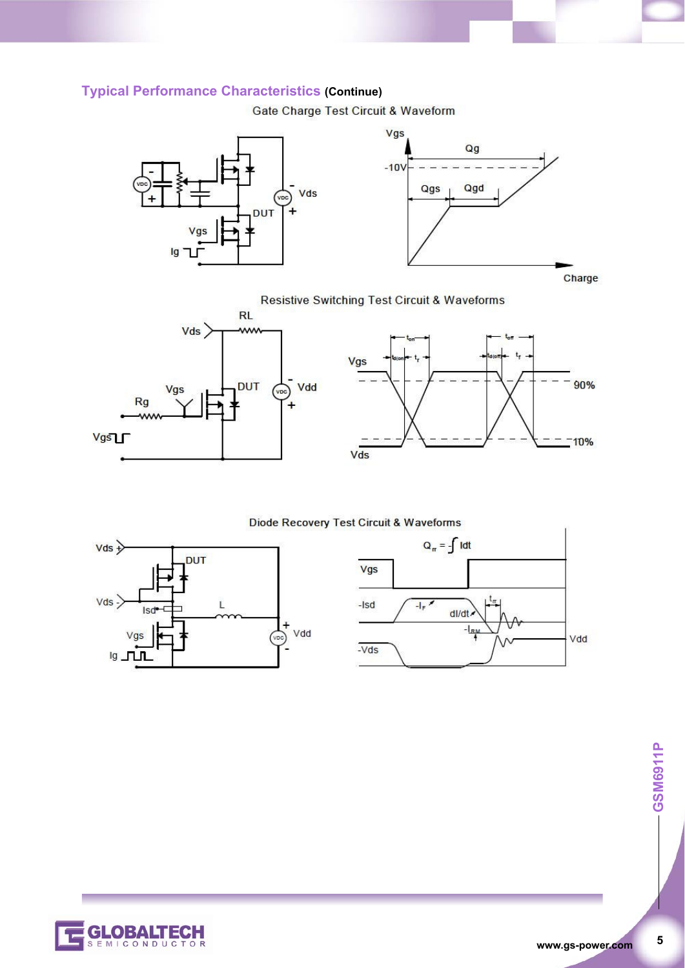# **Typical Performance Characteristics (Continue)**

Gate Charge Test Circuit & Waveform





## **Resistive Switching Test Circuit & Waveforms**





Diode Recovery Test Circuit & Waveforms







**www.gs-power.com**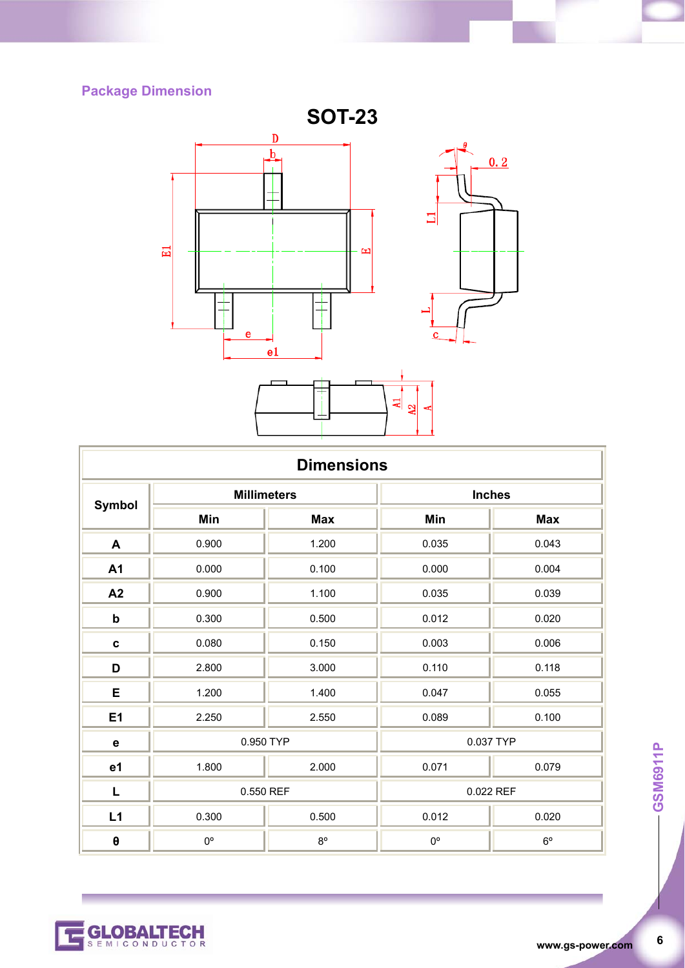# **Package Dimension**



| <b>Dimensions</b> |                    |             |               |             |  |
|-------------------|--------------------|-------------|---------------|-------------|--|
| <b>Symbol</b>     | <b>Millimeters</b> |             | <b>Inches</b> |             |  |
|                   | Min                | <b>Max</b>  | Min           | <b>Max</b>  |  |
| A                 | 0.900              | 1.200       | 0.035         | 0.043       |  |
| A1                | 0.000              | 0.100       | 0.000         | 0.004       |  |
| A2                | 0.900              | 1.100       | 0.035         | 0.039       |  |
| $\mathbf b$       | 0.300              | 0.500       | 0.012         | 0.020       |  |
| $\mathbf c$       | 0.080              | 0.150       | 0.003         | 0.006       |  |
| D                 | 2.800              | 3.000       | 0.110         | 0.118       |  |
| E                 | 1.200              | 1.400       | 0.047         | 0.055       |  |
| E <sub>1</sub>    | 2.250              | 2.550       | 0.089         | 0.100       |  |
| $\mathbf e$       | 0.950 TYP          |             | 0.037 TYP     |             |  |
| e1                | 1.800              | 2.000       | 0.071         | 0.079       |  |
| L                 | 0.550 REF          |             | 0.022 REF     |             |  |
| L1                | 0.300              | 0.500       | 0.012         | 0.020       |  |
| $\pmb{\theta}$    | $0^{\circ}$        | $8^{\circ}$ | $0^{\circ}$   | $6^{\circ}$ |  |

-GSM6911P **6 GSM6911P** 

 $\boldsymbol{6}$